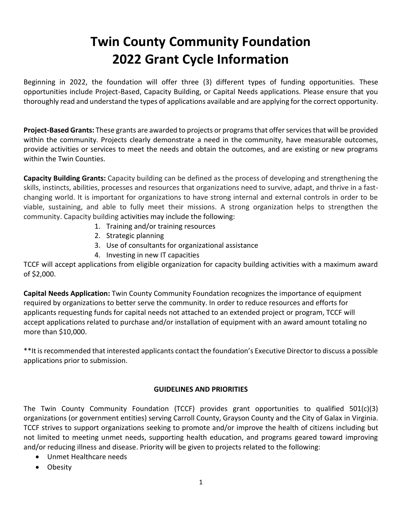# **Twin County Community Foundation 2022 Grant Cycle Information**

Beginning in 2022, the foundation will offer three (3) different types of funding opportunities. These opportunities include Project-Based, Capacity Building, or Capital Needs applications. Please ensure that you thoroughly read and understand the types of applications available and are applying for the correct opportunity.

**Project-Based Grants:** These grants are awarded to projects or programs that offer services that will be provided within the community. Projects clearly demonstrate a need in the community, have measurable outcomes, provide activities or services to meet the needs and obtain the outcomes, and are existing or new programs within the Twin Counties.

**Capacity Building Grants:** Capacity building can be defined as the process of developing and strengthening the skills, instincts, abilities, processes and resources that organizations need to survive, adapt, and thrive in a fastchanging world. It is important for organizations to have strong internal and external controls in order to be viable, sustaining, and able to fully meet their missions. A strong organization helps to strengthen the community. Capacity building activities may include the following:

- 1. Training and/or training resources
- 2. Strategic planning
- 3. Use of consultants for organizational assistance
- 4. Investing in new IT capacities

TCCF will accept applications from eligible organization for capacity building activities with a maximum award of \$2,000.

**Capital Needs Application:** Twin County Community Foundation recognizes the importance of equipment required by organizations to better serve the community. In order to reduce resources and efforts for applicants requesting funds for capital needs not attached to an extended project or program, TCCF will accept applications related to purchase and/or installation of equipment with an award amount totaling no more than \$10,000.

\*\*It is recommended that interested applicants contact the foundation's Executive Director to discuss a possible applications prior to submission.

## **GUIDELINES AND PRIORITIES**

The Twin County Community Foundation (TCCF) provides grant opportunities to qualified 501(c)(3) organizations (or government entities) serving Carroll County, Grayson County and the City of Galax in Virginia. TCCF strives to support organizations seeking to promote and/or improve the health of citizens including but not limited to meeting unmet needs, supporting health education, and programs geared toward improving and/or reducing illness and disease. Priority will be given to projects related to the following:

- Unmet Healthcare needs
- Obesity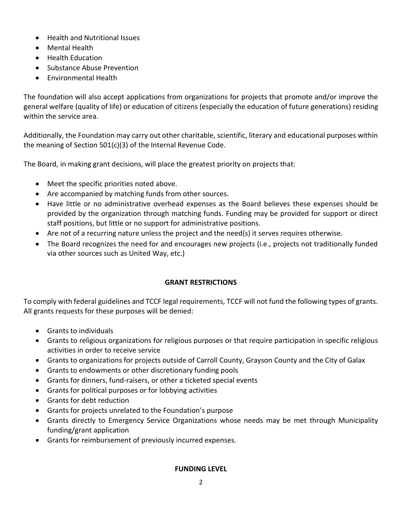- Health and Nutritional Issues
- Mental Health
- Health Education
- Substance Abuse Prevention
- Environmental Health

The foundation will also accept applications from organizations for projects that promote and/or improve the general welfare (quality of life) or education of citizens (especially the education of future generations) residing within the service area.

Additionally, the Foundation may carry out other charitable, scientific, literary and educational purposes within the meaning of Section 501(c)(3) of the Internal Revenue Code.

The Board, in making grant decisions, will place the greatest priority on projects that:

- Meet the specific priorities noted above.
- Are accompanied by matching funds from other sources.
- Have little or no administrative overhead expenses as the Board believes these expenses should be provided by the organization through matching funds. Funding may be provided for support or direct staff positions, but little or no support for administrative positions.
- Are not of a recurring nature unless the project and the need(s) it serves requires otherwise.
- The Board recognizes the need for and encourages new projects (i.e., projects not traditionally funded via other sources such as United Way, etc.)

## **GRANT RESTRICTIONS**

To comply with federal guidelines and TCCF legal requirements, TCCF will not fund the following types of grants. All grants requests for these purposes will be denied:

- Grants to individuals
- Grants to religious organizations for religious purposes or that require participation in specific religious activities in order to receive service
- Grants to organizations for projects outside of Carroll County, Grayson County and the City of Galax
- Grants to endowments or other discretionary funding pools
- Grants for dinners, fund-raisers, or other a ticketed special events
- Grants for political purposes or for lobbying activities
- Grants for debt reduction
- Grants for projects unrelated to the Foundation's purpose
- Grants directly to Emergency Service Organizations whose needs may be met through Municipality funding/grant application
- Grants for reimbursement of previously incurred expenses.

## **FUNDING LEVEL**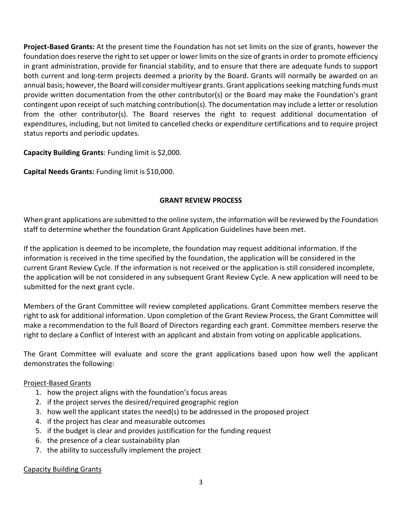**Project-Based Grants:** At the present time the Foundation has not set limits on the size of grants, however the foundation does reserve the right to set upper or lower limits on the size of grants in order to promote efficiency in grant administration, provide for financial stability, and to ensure that there are adequate funds to support both current and long-term projects deemed a priority by the Board. Grants will normally be awarded on an annual basis; however, the Board will consider multiyear grants. Grant applications seeking matching funds must provide written documentation from the other contributor(s) or the Board may make the Foundation's grant contingent upon receipt of such matching contribution(s). The documentation may include a letter or resolution from the other contributor(s). The Board reserves the right to request additional documentation of expenditures, including, but not limited to cancelled checks or expenditure certifications and to require project status reports and periodic updates.

**Capacity Building Grants**: Funding limit is \$2,000.

**Capital Needs Grants:** Funding limit is \$10,000.

## **GRANT REVIEW PROCESS**

When grant applications are submitted to the online system, the information will be reviewed by the Foundation staff to determine whether the foundation Grant Application Guidelines have been met.

If the application is deemed to be incomplete, the foundation may request additional information. If the information is received in the time specified by the foundation, the application will be considered in the current Grant Review Cycle. If the information is not received or the application is still considered incomplete, the application will be not considered in any subsequent Grant Review Cycle. A new application will need to be submitted for the next grant cycle.

Members of the Grant Committee will review completed applications. Grant Committee members reserve the right to ask for additional information. Upon completion of the Grant Review Process, the Grant Committee will make a recommendation to the full Board of Directors regarding each grant. Committee members reserve the right to declare a Conflict of Interest with an applicant and abstain from voting on applicable applications.

The Grant Committee will evaluate and score the grant applications based upon how well the applicant demonstrates the following:

## Project-Based Grants

- 1. how the project aligns with the foundation's focus areas
- 2. if the project serves the desired/required geographic region
- 3. how well the applicant states the need(s) to be addressed in the proposed project
- 4. if the project has clear and measurable outcomes
- 5. if the budget is clear and provides justification for the funding request
- 6. the presence of a clear sustainability plan
- 7. the ability to successfully implement the project

## Capacity Building Grants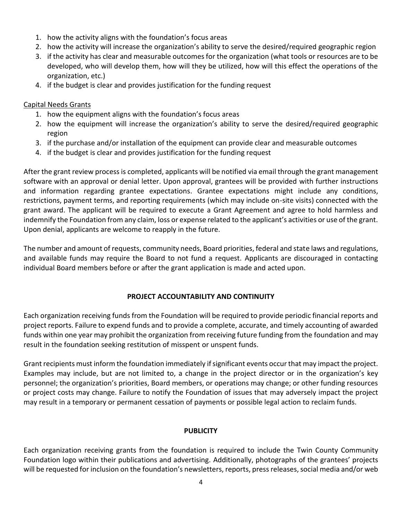- 1. how the activity aligns with the foundation's focus areas
- 2. how the activity will increase the organization's ability to serve the desired/required geographic region
- 3. if the activity has clear and measurable outcomes for the organization (what tools or resources are to be developed, who will develop them, how will they be utilized, how will this effect the operations of the organization, etc.)
- 4. if the budget is clear and provides justification for the funding request

#### Capital Needs Grants

- 1. how the equipment aligns with the foundation's focus areas
- 2. how the equipment will increase the organization's ability to serve the desired/required geographic region
- 3. if the purchase and/or installation of the equipment can provide clear and measurable outcomes
- 4. if the budget is clear and provides justification for the funding request

After the grant review process is completed, applicants will be notified via email through the grant management software with an approval or denial letter. Upon approval, grantees will be provided with further instructions and information regarding grantee expectations. Grantee expectations might include any conditions, restrictions, payment terms, and reporting requirements (which may include on-site visits) connected with the grant award. The applicant will be required to execute a Grant Agreement and agree to hold harmless and indemnify the Foundation from any claim, loss or expense related to the applicant's activities or use of the grant. Upon denial, applicants are welcome to reapply in the future.

The number and amount of requests, community needs, Board priorities, federal and state laws and regulations, and available funds may require the Board to not fund a request. Applicants are discouraged in contacting individual Board members before or after the grant application is made and acted upon.

## **PROJECT ACCOUNTABILITY AND CONTINUITY**

Each organization receiving funds from the Foundation will be required to provide periodic financial reports and project reports. Failure to expend funds and to provide a complete, accurate, and timely accounting of awarded funds within one year may prohibit the organization from receiving future funding from the foundation and may result in the foundation seeking restitution of misspent or unspent funds.

Grant recipients must inform the foundation immediately if significant events occur that may impact the project. Examples may include, but are not limited to, a change in the project director or in the organization's key personnel; the organization's priorities, Board members, or operations may change; or other funding resources or project costs may change. Failure to notify the Foundation of issues that may adversely impact the project may result in a temporary or permanent cessation of payments or possible legal action to reclaim funds.

#### **PUBLICITY**

Each organization receiving grants from the foundation is required to include the Twin County Community Foundation logo within their publications and advertising. Additionally, photographs of the grantees' projects will be requested for inclusion on the foundation's newsletters, reports, press releases, social media and/or web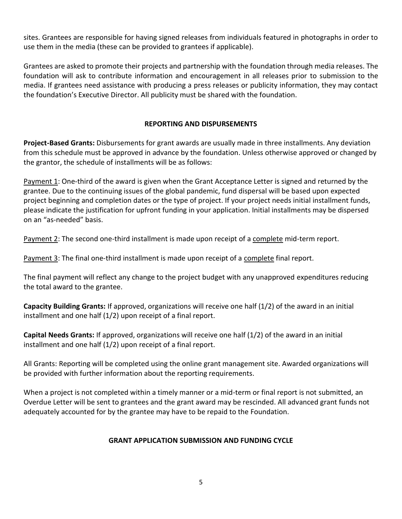sites. Grantees are responsible for having signed releases from individuals featured in photographs in order to use them in the media (these can be provided to grantees if applicable).

Grantees are asked to promote their projects and partnership with the foundation through media releases. The foundation will ask to contribute information and encouragement in all releases prior to submission to the media. If grantees need assistance with producing a press releases or publicity information, they may contact the foundation's Executive Director. All publicity must be shared with the foundation.

## **REPORTING AND DISPURSEMENTS**

**Project-Based Grants:** Disbursements for grant awards are usually made in three installments. Any deviation from this schedule must be approved in advance by the foundation. Unless otherwise approved or changed by the grantor, the schedule of installments will be as follows:

Payment 1: One-third of the award is given when the Grant Acceptance Letter is signed and returned by the grantee. Due to the continuing issues of the global pandemic, fund dispersal will be based upon expected project beginning and completion dates or the type of project. If your project needs initial installment funds, please indicate the justification for upfront funding in your application. Initial installments may be dispersed on an "as-needed" basis.

Payment 2: The second one-third installment is made upon receipt of a complete mid-term report.

Payment 3: The final one-third installment is made upon receipt of a complete final report.

The final payment will reflect any change to the project budget with any unapproved expenditures reducing the total award to the grantee.

**Capacity Building Grants:** If approved, organizations will receive one half (1/2) of the award in an initial installment and one half (1/2) upon receipt of a final report.

**Capital Needs Grants:** If approved, organizations will receive one half (1/2) of the award in an initial installment and one half (1/2) upon receipt of a final report.

All Grants: Reporting will be completed using the online grant management site. Awarded organizations will be provided with further information about the reporting requirements.

When a project is not completed within a timely manner or a mid-term or final report is not submitted, an Overdue Letter will be sent to grantees and the grant award may be rescinded. All advanced grant funds not adequately accounted for by the grantee may have to be repaid to the Foundation.

## **GRANT APPLICATION SUBMISSION AND FUNDING CYCLE**